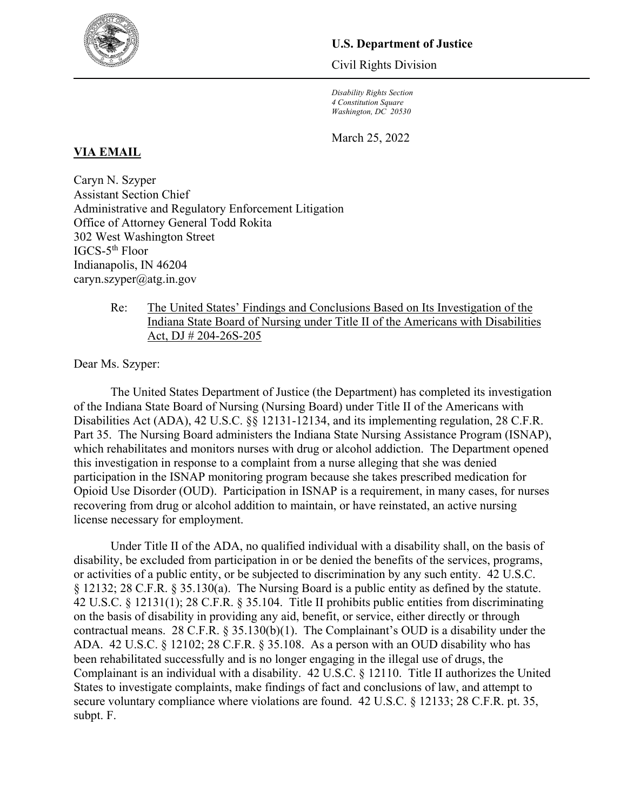

# **U.S. Department of Justice**

Civil Rights Division

*Disability Rights Section 4 Constitution Square Washington, DC 20530*

March 25, 2022

# **VIA EMAIL**

Caryn N. Szyper Assistant Section Chief Administrative and Regulatory Enforcement Litigation Office of Attorney General Todd Rokita 302 West Washington Street IGCS-5th Floor Indianapolis, IN 46204 caryn.szyper@atg.in.gov

> Re: The United States' Findings and Conclusions Based on Its Investigation of the Indiana State Board of Nursing under Title II of the Americans with Disabilities Act, DJ # 204-26S-205

Dear Ms. Szyper:

The United States Department of Justice (the Department) has completed its investigation of the Indiana State Board of Nursing (Nursing Board) under Title II of the Americans with Disabilities Act (ADA), 42 U.S.C. §§ 12131-12134, and its implementing regulation, 28 C.F.R. Part 35. The Nursing Board administers the Indiana State Nursing Assistance Program (ISNAP), which rehabilitates and monitors nurses with drug or alcohol addiction. The Department opened this investigation in response to a complaint from a nurse alleging that she was denied participation in the ISNAP monitoring program because she takes prescribed medication for Opioid Use Disorder (OUD). Participation in ISNAP is a requirement, in many cases, for nurses recovering from drug or alcohol addition to maintain, or have reinstated, an active nursing license necessary for employment.

Under Title II of the ADA, no qualified individual with a disability shall, on the basis of disability, be excluded from participation in or be denied the benefits of the services, programs, or activities of a public entity, or be subjected to discrimination by any such entity. 42 U.S.C. § 12132; 28 C.F.R. § 35.130(a). The Nursing Board is a public entity as defined by the statute. 42 U.S.C. § 12131(1); 28 C.F.R. § 35.104. Title II prohibits public entities from discriminating on the basis of disability in providing any aid, benefit, or service, either directly or through contractual means. 28 C.F.R. § 35.130(b)(1). The Complainant's OUD is a disability under the ADA. 42 U.S.C. § 12102; 28 C.F.R. § 35.108. As a person with an OUD disability who has been rehabilitated successfully and is no longer engaging in the illegal use of drugs, the Complainant is an individual with a disability. 42 U.S.C. § 12110. Title II authorizes the United States to investigate complaints, make findings of fact and conclusions of law, and attempt to secure voluntary compliance where violations are found. 42 U.S.C. § 12133; 28 C.F.R. pt. 35, subpt. F.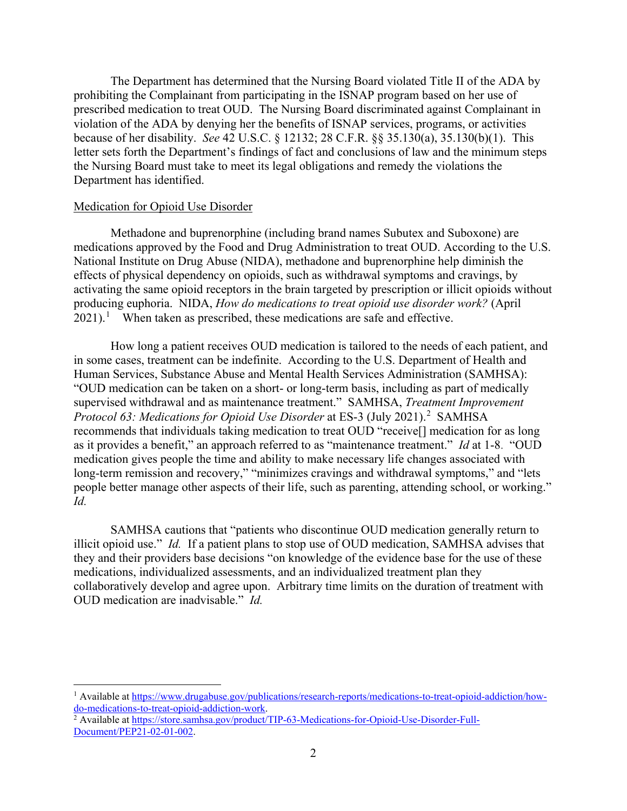The Department has determined that the Nursing Board violated Title II of the ADA by prohibiting the Complainant from participating in the ISNAP program based on her use of prescribed medication to treat OUD. The Nursing Board discriminated against Complainant in violation of the ADA by denying her the benefits of ISNAP services, programs, or activities because of her disability. *See* 42 U.S.C. § 12132; 28 C.F.R. §§ 35.130(a), 35.130(b)(1). This letter sets forth the Department's findings of fact and conclusions of law and the minimum steps the Nursing Board must take to meet its legal obligations and remedy the violations the Department has identified.

### Medication for Opioid Use Disorder

 $\overline{a}$ 

Methadone and buprenorphine (including brand names Subutex and Suboxone) are medications approved by the Food and Drug Administration to treat OUD. According to the U.S. National Institute on Drug Abuse (NIDA), methadone and buprenorphine help diminish the effects of physical dependency on opioids, such as withdrawal symptoms and cravings, by activating the same opioid receptors in the brain targeted by prescription or illicit opioids without producing euphoria. NIDA, *How do medications to treat opioid use disorder work?* (April  $2021$  $2021$ ).<sup>1</sup> When taken as prescribed, these medications are safe and effective.

How long a patient receives OUD medication is tailored to the needs of each patient, and in some cases, treatment can be indefinite. According to the U.S. Department of Health and Human Services, Substance Abuse and Mental Health Services Administration (SAMHSA): "OUD medication can be taken on a short- or long-term basis, including as part of medically supervised withdrawal and as maintenance treatment." SAMHSA, *Treatment Improvement Protocol 63: Medications for Opioid Use Disorder* at ES-3 (July [2](#page-1-1)021).<sup>2</sup> SAMHSA recommends that individuals taking medication to treat OUD "receive[] medication for as long as it provides a benefit," an approach referred to as "maintenance treatment." *Id* at 1-8. "OUD medication gives people the time and ability to make necessary life changes associated with long-term remission and recovery," "minimizes cravings and withdrawal symptoms," and "lets people better manage other aspects of their life, such as parenting, attending school, or working." *Id.*

SAMHSA cautions that "patients who discontinue OUD medication generally return to illicit opioid use." *Id.* If a patient plans to stop use of OUD medication, SAMHSA advises that they and their providers base decisions "on knowledge of the evidence base for the use of these medications, individualized assessments, and an individualized treatment plan they collaboratively develop and agree upon. Arbitrary time limits on the duration of treatment with OUD medication are inadvisable." *Id.*

<span id="page-1-0"></span><sup>&</sup>lt;sup>1</sup> Available at [https://www.drugabuse.gov/publications/research-reports/medications-to-treat-opioid-addiction/how](https://www.drugabuse.gov/publications/research-reports/medications-to-treat-opioid-addiction/how-do-medications-to-treat-opioid-addiction-work)[do-medications-to-treat-opioid-addiction-work.](https://www.drugabuse.gov/publications/research-reports/medications-to-treat-opioid-addiction/how-do-medications-to-treat-opioid-addiction-work) 2 Available at [https://store.samhsa.gov/product/TIP-63-Medications-for-Opioid-Use-Disorder-Full-](https://store.samhsa.gov/product/TIP-63-Medications-for-Opioid-Use-Disorder-Full-Document/PEP21-02-01-002)

<span id="page-1-1"></span>[Document/PEP21-02-01-002.](https://store.samhsa.gov/product/TIP-63-Medications-for-Opioid-Use-Disorder-Full-Document/PEP21-02-01-002)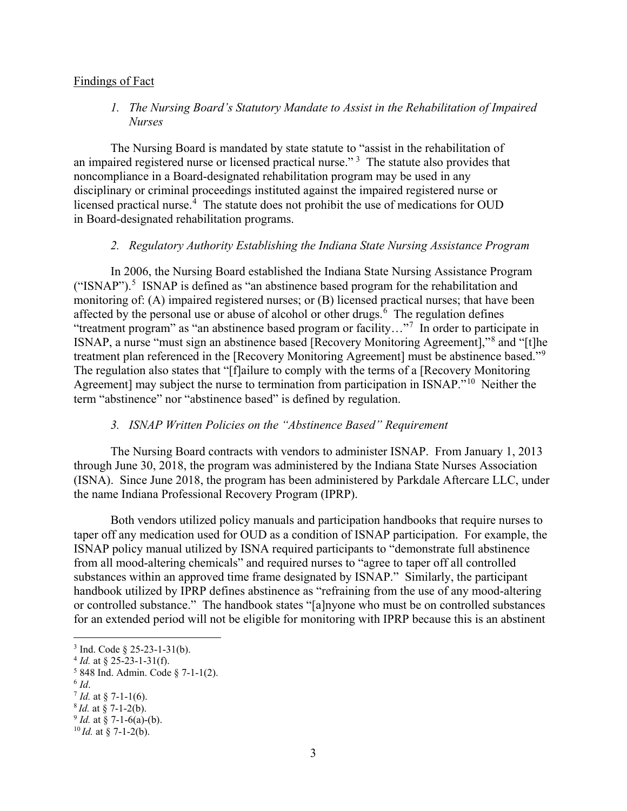## Findings of Fact

*1. The Nursing Board's Statutory Mandate to Assist in the Rehabilitation of Impaired Nurses*

The Nursing Board is mandated by state statute to "assist in the rehabilitation of an impaired registered nurse or licensed practical nurse."<sup>[3](#page-2-0)</sup> The statute also provides that noncompliance in a Board-designated rehabilitation program may be used in any disciplinary or criminal proceedings instituted against the impaired registered nurse or licensed practical nurse.<sup>[4](#page-2-1)</sup> The statute does not prohibit the use of medications for OUD in Board-designated rehabilitation programs.

#### *2. Regulatory Authority Establishing the Indiana State Nursing Assistance Program*

In 2006, the Nursing Board established the Indiana State Nursing Assistance Program  $("ISNAP")$ .<sup>[5](#page-2-2)</sup> ISNAP is defined as "an abstinence based program for the rehabilitation and monitoring of: (A) impaired registered nurses; or (B) licensed practical nurses; that have been affected by the personal use or abuse of alcohol or other drugs.<sup>[6](#page-2-3)</sup> The regulation defines "treatment program" as "an abstinence based program or facility..."<sup>[7](#page-2-4)</sup> In order to participate in ISNAP, a nurse "must sign an abstinence based [Recovery Monitoring Agreement],"[8](#page-2-5) and "[t]he treatment plan referenced in the [Recovery Monitoring Agreement] must be abstinence based."<sup>[9](#page-2-6)</sup> The regulation also states that "[f]ailure to comply with the terms of a [Recovery Monitoring Agreement] may subject the nurse to termination from participation in ISNAP."<sup>[10](#page-2-7)</sup> Neither the term "abstinence" nor "abstinence based" is defined by regulation.

# *3. ISNAP Written Policies on the "Abstinence Based" Requirement*

The Nursing Board contracts with vendors to administer ISNAP. From January 1, 2013 through June 30, 2018, the program was administered by the Indiana State Nurses Association (ISNA). Since June 2018, the program has been administered by Parkdale Aftercare LLC, under the name Indiana Professional Recovery Program (IPRP).

Both vendors utilized policy manuals and participation handbooks that require nurses to taper off any medication used for OUD as a condition of ISNAP participation. For example, the ISNAP policy manual utilized by ISNA required participants to "demonstrate full abstinence from all mood-altering chemicals" and required nurses to "agree to taper off all controlled substances within an approved time frame designated by ISNAP." Similarly, the participant handbook utilized by IPRP defines abstinence as "refraining from the use of any mood-altering or controlled substance." The handbook states "[a]nyone who must be on controlled substances for an extended period will not be eligible for monitoring with IPRP because this is an abstinent

 $\overline{a}$ 

 $3$  Ind. Code  $\S$  25-23-1-31(b).

<span id="page-2-1"></span><span id="page-2-0"></span> $4$  *Id.* at § 25-23-1-31(f).

<span id="page-2-2"></span> $5848$  Ind. Admin. Code  $\S$  7-1-1(2).

<span id="page-2-4"></span><span id="page-2-3"></span> $\frac{6}{7}$  *Id.* at § 7-1-1(6).

<span id="page-2-5"></span><sup>8</sup>*Id.* at § 7-1-2(b).

<span id="page-2-6"></span> $9$  *Id.* at § 7-1-6(a)-(b).

<span id="page-2-7"></span> $^{10}$ *Id.* at § 7-1-2(b).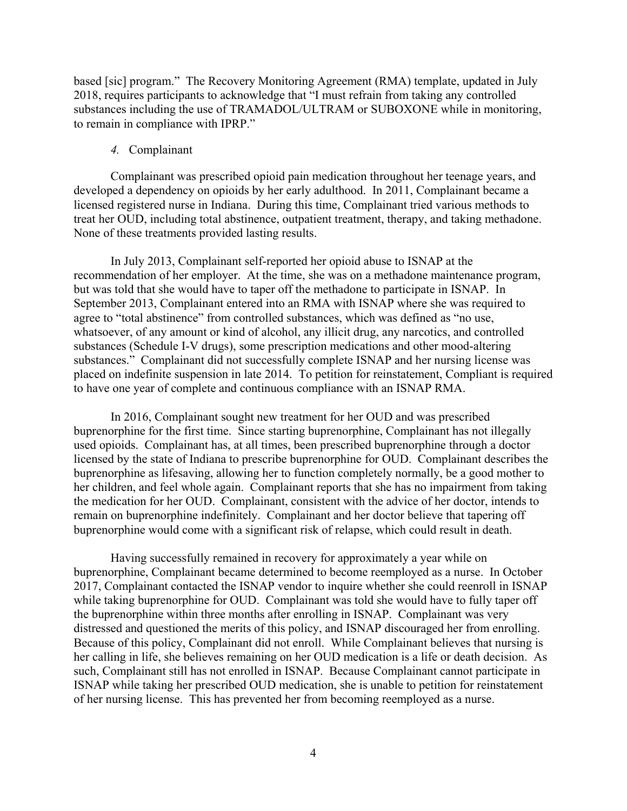based [sic] program." The Recovery Monitoring Agreement (RMA) template, updated in July 2018, requires participants to acknowledge that "I must refrain from taking any controlled substances including the use of TRAMADOL/ULTRAM or SUBOXONE while in monitoring, to remain in compliance with IPRP."

## *4.* Complainant

Complainant was prescribed opioid pain medication throughout her teenage years, and developed a dependency on opioids by her early adulthood. In 2011, Complainant became a licensed registered nurse in Indiana. During this time, Complainant tried various methods to treat her OUD, including total abstinence, outpatient treatment, therapy, and taking methadone. None of these treatments provided lasting results.

In July 2013, Complainant self-reported her opioid abuse to ISNAP at the recommendation of her employer. At the time, she was on a methadone maintenance program, but was told that she would have to taper off the methadone to participate in ISNAP. In September 2013, Complainant entered into an RMA with ISNAP where she was required to agree to "total abstinence" from controlled substances, which was defined as "no use, whatsoever, of any amount or kind of alcohol, any illicit drug, any narcotics, and controlled substances (Schedule I-V drugs), some prescription medications and other mood-altering substances." Complainant did not successfully complete ISNAP and her nursing license was placed on indefinite suspension in late 2014. To petition for reinstatement, Compliant is required to have one year of complete and continuous compliance with an ISNAP RMA.

In 2016, Complainant sought new treatment for her OUD and was prescribed buprenorphine for the first time. Since starting buprenorphine, Complainant has not illegally used opioids. Complainant has, at all times, been prescribed buprenorphine through a doctor licensed by the state of Indiana to prescribe buprenorphine for OUD. Complainant describes the buprenorphine as lifesaving, allowing her to function completely normally, be a good mother to her children, and feel whole again. Complainant reports that she has no impairment from taking the medication for her OUD. Complainant, consistent with the advice of her doctor, intends to remain on buprenorphine indefinitely. Complainant and her doctor believe that tapering off buprenorphine would come with a significant risk of relapse, which could result in death.

Having successfully remained in recovery for approximately a year while on buprenorphine, Complainant became determined to become reemployed as a nurse. In October 2017, Complainant contacted the ISNAP vendor to inquire whether she could reenroll in ISNAP while taking buprenorphine for OUD. Complainant was told she would have to fully taper off the buprenorphine within three months after enrolling in ISNAP. Complainant was very distressed and questioned the merits of this policy, and ISNAP discouraged her from enrolling. Because of this policy, Complainant did not enroll. While Complainant believes that nursing is her calling in life, she believes remaining on her OUD medication is a life or death decision. As such, Complainant still has not enrolled in ISNAP. Because Complainant cannot participate in ISNAP while taking her prescribed OUD medication, she is unable to petition for reinstatement of her nursing license. This has prevented her from becoming reemployed as a nurse.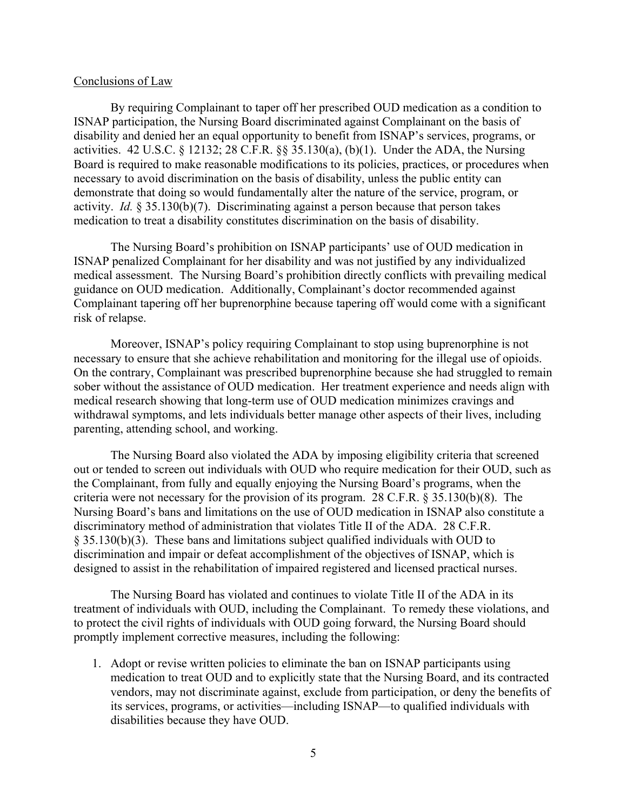### Conclusions of Law

By requiring Complainant to taper off her prescribed OUD medication as a condition to ISNAP participation, the Nursing Board discriminated against Complainant on the basis of disability and denied her an equal opportunity to benefit from ISNAP's services, programs, or activities. 42 U.S.C. § 12132; 28 C.F.R. §§ 35.130(a), (b)(1). Under the ADA, the Nursing Board is required to make reasonable modifications to its policies, practices, or procedures when necessary to avoid discrimination on the basis of disability, unless the public entity can demonstrate that doing so would fundamentally alter the nature of the service, program, or activity. *Id.* § 35.130(b)(7). Discriminating against a person because that person takes medication to treat a disability constitutes discrimination on the basis of disability.

The Nursing Board's prohibition on ISNAP participants' use of OUD medication in ISNAP penalized Complainant for her disability and was not justified by any individualized medical assessment. The Nursing Board's prohibition directly conflicts with prevailing medical guidance on OUD medication. Additionally, Complainant's doctor recommended against Complainant tapering off her buprenorphine because tapering off would come with a significant risk of relapse.

Moreover, ISNAP's policy requiring Complainant to stop using buprenorphine is not necessary to ensure that she achieve rehabilitation and monitoring for the illegal use of opioids. On the contrary, Complainant was prescribed buprenorphine because she had struggled to remain sober without the assistance of OUD medication. Her treatment experience and needs align with medical research showing that long-term use of OUD medication minimizes cravings and withdrawal symptoms, and lets individuals better manage other aspects of their lives, including parenting, attending school, and working.

The Nursing Board also violated the ADA by imposing eligibility criteria that screened out or tended to screen out individuals with OUD who require medication for their OUD, such as the Complainant, from fully and equally enjoying the Nursing Board's programs, when the criteria were not necessary for the provision of its program. 28 C.F.R. § 35.130(b)(8). The Nursing Board's bans and limitations on the use of OUD medication in ISNAP also constitute a discriminatory method of administration that violates Title II of the ADA. 28 C.F.R. § 35.130(b)(3). These bans and limitations subject qualified individuals with OUD to discrimination and impair or defeat accomplishment of the objectives of ISNAP, which is designed to assist in the rehabilitation of impaired registered and licensed practical nurses.

The Nursing Board has violated and continues to violate Title II of the ADA in its treatment of individuals with OUD, including the Complainant. To remedy these violations, and to protect the civil rights of individuals with OUD going forward, the Nursing Board should promptly implement corrective measures, including the following:

1. Adopt or revise written policies to eliminate the ban on ISNAP participants using medication to treat OUD and to explicitly state that the Nursing Board, and its contracted vendors, may not discriminate against, exclude from participation, or deny the benefits of its services, programs, or activities—including ISNAP—to qualified individuals with disabilities because they have OUD.